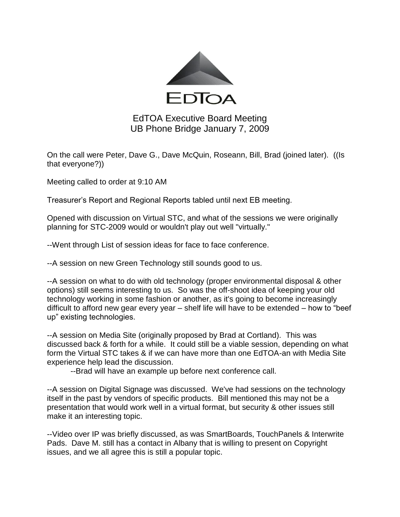

## EdTOA Executive Board Meeting UB Phone Bridge January 7, 2009

On the call were Peter, Dave G., Dave McQuin, Roseann, Bill, Brad (joined later). ((Is that everyone?))

Meeting called to order at 9:10 AM

Treasurer's Report and Regional Reports tabled until next EB meeting.

Opened with discussion on Virtual STC, and what of the sessions we were originally planning for STC-2009 would or wouldn't play out well "virtually."

--Went through List of session ideas for face to face conference.

--A session on new Green Technology still sounds good to us.

--A session on what to do with old technology (proper environmental disposal & other options) still seems interesting to us. So was the off-shoot idea of keeping your old technology working in some fashion or another, as it's going to become increasingly difficult to afford new gear every year – shelf life will have to be extended – how to "beef up" existing technologies.

--A session on Media Site (originally proposed by Brad at Cortland). This was discussed back & forth for a while. It could still be a viable session, depending on what form the Virtual STC takes & if we can have more than one EdTOA-an with Media Site experience help lead the discussion.

--Brad will have an example up before next conference call.

--A session on Digital Signage was discussed. We've had sessions on the technology itself in the past by vendors of specific products. Bill mentioned this may not be a presentation that would work well in a virtual format, but security & other issues still make it an interesting topic.

--Video over IP was briefly discussed, as was SmartBoards, TouchPanels & Interwrite Pads. Dave M. still has a contact in Albany that is willing to present on Copyright issues, and we all agree this is still a popular topic.